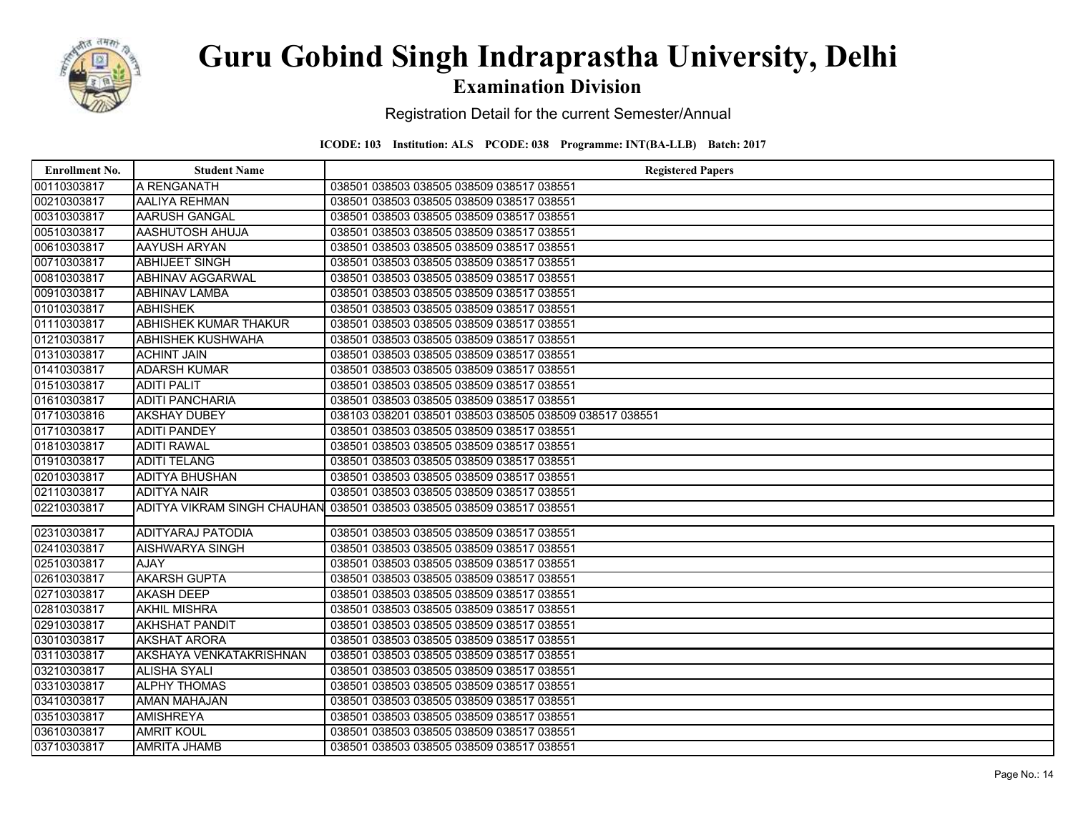

### Examination Division

Registration Detail for the current Semester/Annual

| <b>Enrollment No.</b> | <b>Student Name</b>          | <b>Registered Papers</b>                                              |
|-----------------------|------------------------------|-----------------------------------------------------------------------|
| 00110303817           | A RENGANATH                  | 038501 038503 038505 038509 038517 038551                             |
| 00210303817           | AALIYA REHMAN                | 038501 038503 038505 038509 038517 038551                             |
| 00310303817           | <b>AARUSH GANGAL</b>         | 038501 038503 038505 038509 038517 038551                             |
| 00510303817           | <b>AASHUTOSH AHUJA</b>       | 038501 038503 038505 038509 038517 038551                             |
| 00610303817           | <b>AAYUSH ARYAN</b>          | 038501 038503 038505 038509 038517 038551                             |
| 00710303817           | <b>ABHIJEET SINGH</b>        | 038501 038503 038505 038509 038517 038551                             |
| 00810303817           | <b>ABHINAV AGGARWAL</b>      | 038501 038503 038505 038509 038517 038551                             |
| 00910303817           | <b>ABHINAV LAMBA</b>         | 038501 038503 038505 038509 038517 038551                             |
| 01010303817           | <b>ABHISHEK</b>              | 038501 038503 038505 038509 038517 038551                             |
| 01110303817           | <b>ABHISHEK KUMAR THAKUR</b> | 038501 038503 038505 038509 038517 038551                             |
| 01210303817           | <b>ABHISHEK KUSHWAHA</b>     | 038501 038503 038505 038509 038517 038551                             |
| 01310303817           | <b>ACHINT JAIN</b>           | 038501 038503 038505 038509 038517 038551                             |
| 01410303817           | <b>ADARSH KUMAR</b>          | 038501 038503 038505 038509 038517 038551                             |
| 01510303817           | <b>ADITI PALIT</b>           | 038501 038503 038505 038509 038517 038551                             |
| 01610303817           | <b>ADITI PANCHARIA</b>       | 038501 038503 038505 038509 038517 038551                             |
| 01710303816           | <b>AKSHAY DUBEY</b>          | 038103 038201 038501 038503 038505 038509 038517 038551               |
| 01710303817           | <b>ADITI PANDEY</b>          | 038501 038503 038505 038509 038517 038551                             |
| 01810303817           | <b>ADITI RAWAL</b>           | 038501 038503 038505 038509 038517 038551                             |
| 01910303817           | <b>ADITI TELANG</b>          | 038501 038503 038505 038509 038517 038551                             |
| 02010303817           | <b>ADITYA BHUSHAN</b>        | 038501 038503 038505 038509 038517 038551                             |
| 02110303817           | <b>ADITYA NAIR</b>           | 038501 038503 038505 038509 038517 038551                             |
| 02210303817           |                              | ADITYA VIKRAM SINGH CHAUHAN 038501 038503 038505 038509 038517 038551 |
|                       |                              |                                                                       |
| 02310303817           | <b>ADITYARAJ PATODIA</b>     | 038501 038503 038505 038509 038517 038551                             |
| 02410303817           | <b>AISHWARYA SINGH</b>       | 038501 038503 038505 038509 038517 038551                             |
| 02510303817           | AJAY                         | 038501 038503 038505 038509 038517 038551                             |
| 02610303817           | <b>AKARSH GUPTA</b>          | 038501 038503 038505 038509 038517 038551                             |
| 02710303817           | <b>AKASH DEEP</b>            | 038501 038503 038505 038509 038517 038551                             |
| 02810303817           | <b>AKHIL MISHRA</b>          | 038501 038503 038505 038509 038517 038551                             |
| 02910303817           | <b>AKHSHAT PANDIT</b>        | 038501 038503 038505 038509 038517 038551                             |
| 03010303817           | <b>AKSHAT ARORA</b>          | 038501 038503 038505 038509 038517 038551                             |
| 03110303817           | AKSHAYA VENKATAKRISHNAN      | 038501 038503 038505 038509 038517 038551                             |
| 03210303817           | <b>ALISHA SYALI</b>          | 038501 038503 038505 038509 038517 038551                             |
| 03310303817           | <b>ALPHY THOMAS</b>          | 038501 038503 038505 038509 038517 038551                             |
| 03410303817           | <b>AMAN MAHAJAN</b>          | 038501 038503 038505 038509 038517 038551                             |
| 03510303817           | <b>AMISHREYA</b>             | 038501 038503 038505 038509 038517 038551                             |
| 03610303817           | <b>AMRIT KOUL</b>            | 038501 038503 038505 038509 038517 038551                             |
| 03710303817           | <b>AMRITA JHAMB</b>          | 038501 038503 038505 038509 038517 038551                             |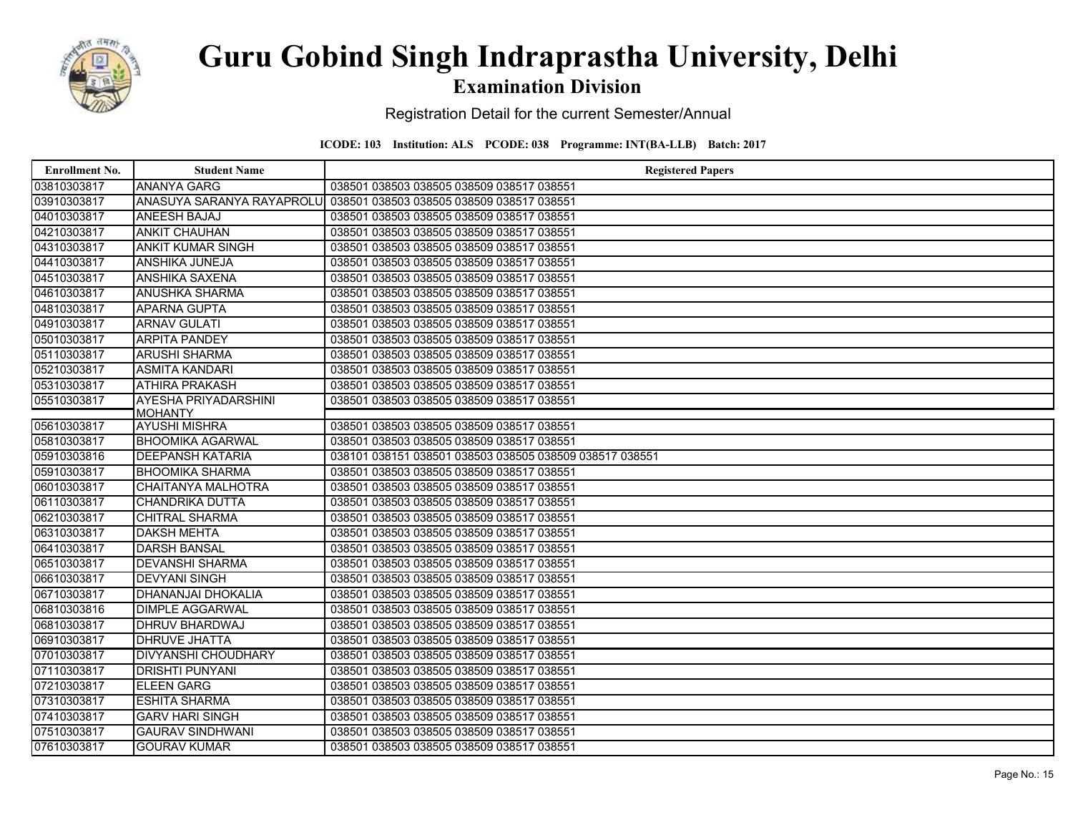

### Examination Division

Registration Detail for the current Semester/Annual

| <b>Enrollment No.</b>      | <b>Student Name</b>                    | <b>Registered Papers</b>                                             |
|----------------------------|----------------------------------------|----------------------------------------------------------------------|
| 03810303817                | <b>ANANYA GARG</b>                     | 038501 038503 038505 038509 038517 038551                            |
| 03910303817                |                                        | ANASUYA SARANYA RAYAPROLUI 038501 038503 038505 038509 038517 038551 |
| 04010303817                | <b>ANEESH BAJAJ</b>                    | 038501 038503 038505 038509 038517 038551                            |
| 04210303817                | <b>ANKIT CHAUHAN</b>                   | 038501 038503 038505 038509 038517 038551                            |
| 04310303817                | <b>ANKIT KUMAR SINGH</b>               | 038501 038503 038505 038509 038517 038551                            |
| 04410303817                | <b>ANSHIKA JUNEJA</b>                  | 038501 038503 038505 038509 038517 038551                            |
| 04510303817                | <b>ANSHIKA SAXENA</b>                  | 038501 038503 038505 038509 038517 038551                            |
| 04610303817                | <b>ANUSHKA SHARMA</b>                  | 038501 038503 038505 038509 038517 038551                            |
| 04810303817                | <b>APARNA GUPTA</b>                    | 038501 038503 038505 038509 038517 038551                            |
| 04910303817                | <b>ARNAV GULATI</b>                    | 038501 038503 038505 038509 038517 038551                            |
| 05010303817                | <b>ARPITA PANDEY</b>                   | 038501 038503 038505 038509 038517 038551                            |
| 05110303817                | <b>ARUSHI SHARMA</b>                   | 038501 038503 038505 038509 038517 038551                            |
| 05210303817                | <b>ASMITA KANDARI</b>                  | 038501 038503 038505 038509 038517 038551                            |
| 05310303817                | <b>ATHIRA PRAKASH</b>                  | 038501 038503 038505 038509 038517 038551                            |
| 05510303817                | AYESHA PRIYADARSHINI                   | 038501 038503 038505 038509 038517 038551                            |
| 05610303817                | <b>MOHANTY</b><br><b>AYUSHI MISHRA</b> | 038501 038503 038505 038509 038517 038551                            |
| 05810303817                | <b>BHOOMIKA AGARWAL</b>                | 038501 038503 038505 038509 038517 038551                            |
| 05910303816                | <b>DEEPANSH KATARIA</b>                | 038101 038151 038501 038503 038505 038509 038517 038551              |
|                            | <b>BHOOMIKA SHARMA</b>                 | 038501 038503 038505 038509 038517 038551                            |
| 05910303817<br>06010303817 | <b>CHAITANYA MALHOTRA</b>              | 038501 038503 038505 038509 038517 038551                            |
| 06110303817                | <b>CHANDRIKA DUTTA</b>                 | 038501 038503 038505 038509 038517 038551                            |
| 06210303817                | <b>CHITRAL SHARMA</b>                  | 038501 038503 038505 038509 038517 038551                            |
| 06310303817                | <b>DAKSH MEHTA</b>                     | 038501 038503 038505 038509 038517 038551                            |
| 06410303817                | <b>DARSH BANSAL</b>                    | 038501 038503 038505 038509 038517 038551                            |
| 06510303817                | <b>DEVANSHI SHARMA</b>                 | 038501 038503 038505 038509 038517 038551                            |
| 06610303817                | <b>DEVYANI SINGH</b>                   | 038501 038503 038505 038509 038517 038551                            |
| 06710303817                | <b>DHANANJAI DHOKALIA</b>              | 038501 038503 038505 038509 038517 038551                            |
| 06810303816                | <b>DIMPLE AGGARWAL</b>                 | 038501 038503 038505 038509 038517 038551                            |
| 06810303817                | <b>DHRUV BHARDWAJ</b>                  | 038501 038503 038505 038509 038517 038551                            |
| 06910303817                | <b>DHRUVE JHATTA</b>                   | 038501 038503 038505 038509 038517 038551                            |
| 07010303817                | <b>DIVYANSHI CHOUDHARY</b>             | 038501 038503 038505 038509 038517 038551                            |
| 07110303817                | <b>DRISHTI PUNYANI</b>                 | 038501 038503 038505 038509 038517 038551                            |
| 07210303817                | <b>ELEEN GARG</b>                      | 038501 038503 038505 038509 038517 038551                            |
| 07310303817                | <b>ESHITA SHARMA</b>                   | 038501 038503 038505 038509 038517 038551                            |
| 07410303817                | <b>GARV HARI SINGH</b>                 | 038501 038503 038505 038509 038517 038551                            |
| 07510303817                | <b>GAURAV SINDHWANI</b>                | 038501 038503 038505 038509 038517 038551                            |
| 07610303817                | <b>GOURAV KUMAR</b>                    | 038501 038503 038505 038509 038517 038551                            |
|                            |                                        |                                                                      |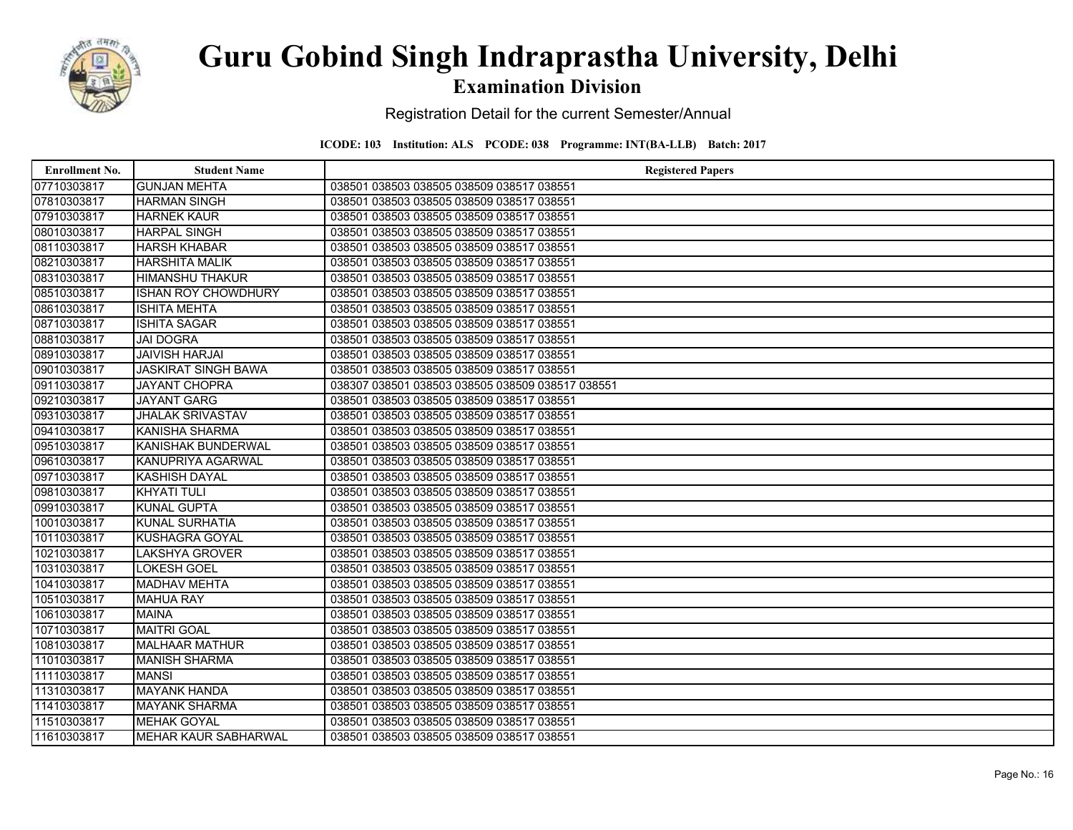

### Examination Division

Registration Detail for the current Semester/Annual

| <b>Enrollment No.</b> | <b>Student Name</b>         | <b>Registered Papers</b>                         |
|-----------------------|-----------------------------|--------------------------------------------------|
| 07710303817           | <b>GUNJAN MEHTA</b>         | 038501 038503 038505 038509 038517 038551        |
| 07810303817           | <b>HARMAN SINGH</b>         | 038501 038503 038505 038509 038517 038551        |
| 07910303817           | <b>HARNEK KAUR</b>          | 038501 038503 038505 038509 038517 038551        |
| 08010303817           | <b>HARPAL SINGH</b>         | 038501 038503 038505 038509 038517 038551        |
| 08110303817           | <b>HARSH KHABAR</b>         | 038501 038503 038505 038509 038517 038551        |
| 08210303817           | <b>HARSHITA MALIK</b>       | 038501 038503 038505 038509 038517 038551        |
| 08310303817           | <b>HIMANSHU THAKUR</b>      | 038501 038503 038505 038509 038517 038551        |
| 08510303817           | <b>ISHAN ROY CHOWDHURY</b>  | 038501 038503 038505 038509 038517 038551        |
| 08610303817           | <b>ISHITA MEHTA</b>         | 038501 038503 038505 038509 038517 038551        |
| 08710303817           | <b>ISHITA SAGAR</b>         | 038501 038503 038505 038509 038517 038551        |
| 08810303817           | <b>JAI DOGRA</b>            | 038501 038503 038505 038509 038517 038551        |
| 08910303817           | <b>JAIVISH HARJAI</b>       | 038501 038503 038505 038509 038517 038551        |
| 09010303817           | <b>JASKIRAT SINGH BAWA</b>  | 038501 038503 038505 038509 038517 038551        |
| 09110303817           | <b>JAYANT CHOPRA</b>        | 038307 038501 038503 038505 038509 038517 038551 |
| 09210303817           | <b>JAYANT GARG</b>          | 038501 038503 038505 038509 038517 038551        |
| 09310303817           | <b>JHALAK SRIVASTAV</b>     | 038501 038503 038505 038509 038517 038551        |
| 09410303817           | <b>KANISHA SHARMA</b>       | 038501 038503 038505 038509 038517 038551        |
| 09510303817           | <b>KANISHAK BUNDERWAL</b>   | 038501 038503 038505 038509 038517 038551        |
| 09610303817           | <b>KANUPRIYA AGARWAL</b>    | 038501 038503 038505 038509 038517 038551        |
| 09710303817           | <b>KASHISH DAYAL</b>        | 038501 038503 038505 038509 038517 038551        |
| 09810303817           | <b>KHYATI TULI</b>          | 038501 038503 038505 038509 038517 038551        |
| 09910303817           | <b>KUNAL GUPTA</b>          | 038501 038503 038505 038509 038517 038551        |
| 10010303817           | <b>KUNAL SURHATIA</b>       | 038501 038503 038505 038509 038517 038551        |
| 10110303817           | <b>KUSHAGRA GOYAL</b>       | 038501 038503 038505 038509 038517 038551        |
| 10210303817           | <b>LAKSHYA GROVER</b>       | 038501 038503 038505 038509 038517 038551        |
| 10310303817           | <b>LOKESH GOEL</b>          | 038501 038503 038505 038509 038517 038551        |
| 10410303817           | <b>MADHAV MEHTA</b>         | 038501 038503 038505 038509 038517 038551        |
| 10510303817           | <b>MAHUA RAY</b>            | 038501 038503 038505 038509 038517 038551        |
| 10610303817           | <b>MAINA</b>                | 038501 038503 038505 038509 038517 038551        |
| 10710303817           | <b>MAITRI GOAL</b>          | 038501 038503 038505 038509 038517 038551        |
| 10810303817           | <b>MALHAAR MATHUR</b>       | 038501 038503 038505 038509 038517 038551        |
| 11010303817           | <b>MANISH SHARMA</b>        | 038501 038503 038505 038509 038517 038551        |
| 11110303817           | <b>MANSI</b>                | 038501 038503 038505 038509 038517 038551        |
| 11310303817           | <b>MAYANK HANDA</b>         | 038501 038503 038505 038509 038517 038551        |
| 11410303817           | <b>MAYANK SHARMA</b>        | 038501 038503 038505 038509 038517 038551        |
| 11510303817           | <b>MEHAK GOYAL</b>          | 038501 038503 038505 038509 038517 038551        |
| 11610303817           | <b>MEHAR KAUR SABHARWAL</b> | 038501 038503 038505 038509 038517 038551        |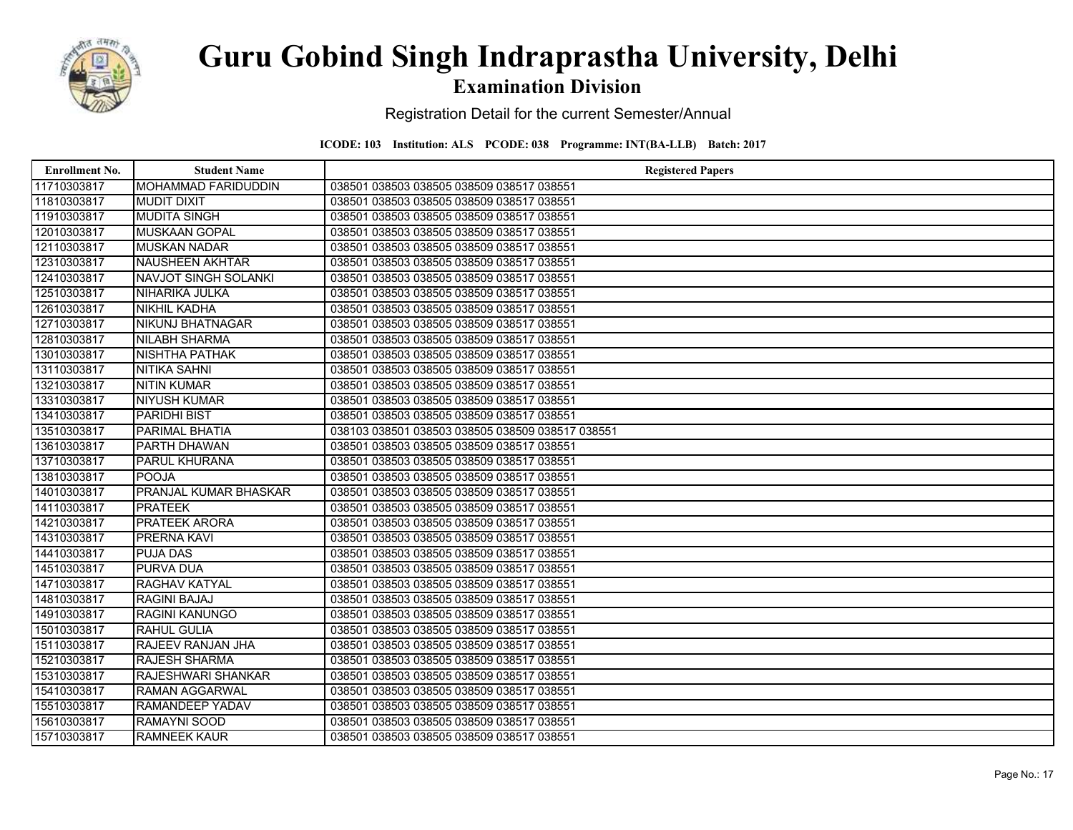

### Examination Division

Registration Detail for the current Semester/Annual

| <b>Enrollment No.</b> | <b>Student Name</b>         | <b>Registered Papers</b>                         |
|-----------------------|-----------------------------|--------------------------------------------------|
| 11710303817           | <b>MOHAMMAD FARIDUDDIN</b>  | 038501 038503 038505 038509 038517 038551        |
| 11810303817           | <b>MUDIT DIXIT</b>          | 038501 038503 038505 038509 038517 038551        |
| 11910303817           | <b>MUDITA SINGH</b>         | 038501 038503 038505 038509 038517 038551        |
| 12010303817           | <b>MUSKAAN GOPAL</b>        | 038501 038503 038505 038509 038517 038551        |
| 12110303817           | <b>MUSKAN NADAR</b>         | 038501 038503 038505 038509 038517 038551        |
| 12310303817           | <b>NAUSHEEN AKHTAR</b>      | 038501 038503 038505 038509 038517 038551        |
| 12410303817           | <b>NAVJOT SINGH SOLANKI</b> | 038501 038503 038505 038509 038517 038551        |
| 12510303817           | NIHARIKA JULKA              | 038501 038503 038505 038509 038517 038551        |
| 12610303817           | <b>NIKHIL KADHA</b>         | 038501 038503 038505 038509 038517 038551        |
| 12710303817           | <b>NIKUNJ BHATNAGAR</b>     | 038501 038503 038505 038509 038517 038551        |
| 12810303817           | <b>NILABH SHARMA</b>        | 038501 038503 038505 038509 038517 038551        |
| 13010303817           | <b>NISHTHA PATHAK</b>       | 038501 038503 038505 038509 038517 038551        |
| 13110303817           | <b>NITIKA SAHNI</b>         | 038501 038503 038505 038509 038517 038551        |
| 13210303817           | <b>NITIN KUMAR</b>          | 038501 038503 038505 038509 038517 038551        |
| 13310303817           | <b>NIYUSH KUMAR</b>         | 038501 038503 038505 038509 038517 038551        |
| 13410303817           | <b>PARIDHI BIST</b>         | 038501 038503 038505 038509 038517 038551        |
| 13510303817           | PARIMAL BHATIA              | 038103 038501 038503 038505 038509 038517 038551 |
| 13610303817           | <b>PARTH DHAWAN</b>         | 038501 038503 038505 038509 038517 038551        |
| 13710303817           | <b>PARUL KHURANA</b>        | 038501 038503 038505 038509 038517 038551        |
| 13810303817           | <b>POOJA</b>                | 038501 038503 038505 038509 038517 038551        |
| 14010303817           | PRANJAL KUMAR BHASKAR       | 038501 038503 038505 038509 038517 038551        |
| 14110303817           | <b>PRATEEK</b>              | 038501 038503 038505 038509 038517 038551        |
| 14210303817           | PRATEEK ARORA               | 038501 038503 038505 038509 038517 038551        |
| 14310303817           | PRERNA KAVI                 | 038501 038503 038505 038509 038517 038551        |
| 14410303817           | <b>PUJA DAS</b>             | 038501 038503 038505 038509 038517 038551        |
| 14510303817           | <b>PURVA DUA</b>            | 038501 038503 038505 038509 038517 038551        |
| 14710303817           | RAGHAV KATYAL               | 038501 038503 038505 038509 038517 038551        |
| 14810303817           | <b>RAGINI BAJAJ</b>         | 038501 038503 038505 038509 038517 038551        |
| 14910303817           | <b>RAGINI KANUNGO</b>       | 038501 038503 038505 038509 038517 038551        |
| 15010303817           | <b>RAHUL GULIA</b>          | 038501 038503 038505 038509 038517 038551        |
| 15110303817           | RAJEEV RANJAN JHA           | 038501 038503 038505 038509 038517 038551        |
| 15210303817           | <b>RAJESH SHARMA</b>        | 038501 038503 038505 038509 038517 038551        |
| 15310303817           | <b>RAJESHWARI SHANKAR</b>   | 038501 038503 038505 038509 038517 038551        |
| 15410303817           | <b>RAMAN AGGARWAL</b>       | 038501 038503 038505 038509 038517 038551        |
| 15510303817           | <b>RAMANDEEP YADAV</b>      | 038501 038503 038505 038509 038517 038551        |
| 15610303817           | RAMAYNI SOOD                | 038501 038503 038505 038509 038517 038551        |
| 15710303817           | <b>RAMNEEK KAUR</b>         | 038501 038503 038505 038509 038517 038551        |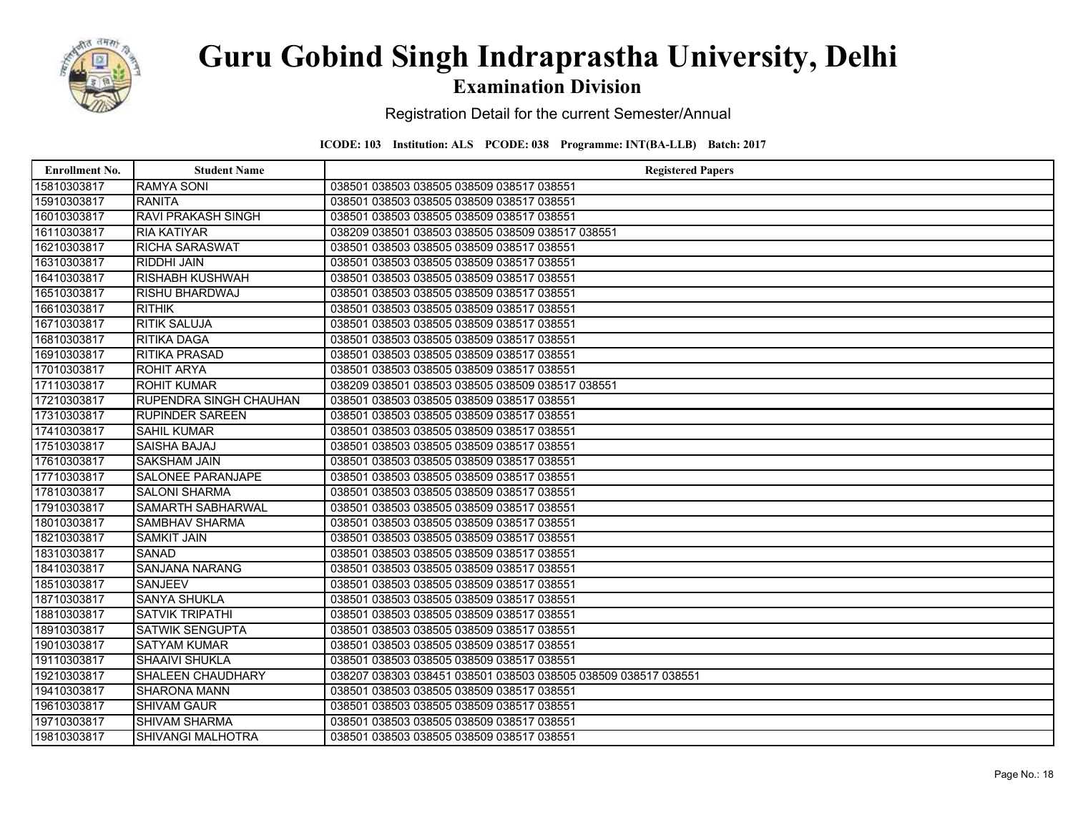

### Examination Division

Registration Detail for the current Semester/Annual

| <b>Enrollment No.</b> | <b>Student Name</b>           | <b>Registered Papers</b>                                       |
|-----------------------|-------------------------------|----------------------------------------------------------------|
| 15810303817           | <b>RAMYA SONI</b>             | 038501 038503 038505 038509 038517 038551                      |
| 15910303817           | <b>RANITA</b>                 | 038501 038503 038505 038509 038517 038551                      |
| 16010303817           | <b>RAVI PRAKASH SINGH</b>     | 038501 038503 038505 038509 038517 038551                      |
| 16110303817           | <b>RIA KATIYAR</b>            | 038209 038501 038503 038505 038509 038517 038551               |
| 16210303817           | <b>RICHA SARASWAT</b>         | 038501 038503 038505 038509 038517 038551                      |
| 16310303817           | <b>RIDDHI JAIN</b>            | 038501 038503 038505 038509 038517 038551                      |
| 16410303817           | <b>RISHABH KUSHWAH</b>        | 038501 038503 038505 038509 038517 038551                      |
| 16510303817           | <b>RISHU BHARDWAJ</b>         | 038501 038503 038505 038509 038517 038551                      |
| 16610303817           | <b>RITHIK</b>                 | 038501 038503 038505 038509 038517 038551                      |
| 16710303817           | <b>RITIK SALUJA</b>           | 038501 038503 038505 038509 038517 038551                      |
| 16810303817           | <b>RITIKA DAGA</b>            | 038501 038503 038505 038509 038517 038551                      |
| 16910303817           | <b>RITIKA PRASAD</b>          | 038501 038503 038505 038509 038517 038551                      |
| 17010303817           | <b>ROHIT ARYA</b>             | 038501 038503 038505 038509 038517 038551                      |
| 17110303817           | <b>ROHIT KUMAR</b>            | 038209 038501 038503 038505 038509 038517 038551               |
| 17210303817           | <b>RUPENDRA SINGH CHAUHAN</b> | 038501 038503 038505 038509 038517 038551                      |
| 17310303817           | <b>RUPINDER SAREEN</b>        | 038501 038503 038505 038509 038517 038551                      |
| 17410303817           | <b>SAHIL KUMAR</b>            | 038501 038503 038505 038509 038517 038551                      |
| 17510303817           | <b>SAISHA BAJAJ</b>           | 038501 038503 038505 038509 038517 038551                      |
| 17610303817           | <b>SAKSHAM JAIN</b>           | 038501 038503 038505 038509 038517 038551                      |
| 17710303817           | SALONEE PARANJAPE             | 038501 038503 038505 038509 038517 038551                      |
| 17810303817           | <b>SALONI SHARMA</b>          | 038501 038503 038505 038509 038517 038551                      |
| 17910303817           | SAMARTH SABHARWAL             | 038501 038503 038505 038509 038517 038551                      |
| 18010303817           | SAMBHAV SHARMA                | 038501 038503 038505 038509 038517 038551                      |
| 18210303817           | <b>SAMKIT JAIN</b>            | 038501 038503 038505 038509 038517 038551                      |
| 18310303817           | <b>SANAD</b>                  | 038501 038503 038505 038509 038517 038551                      |
| 18410303817           | <b>SANJANA NARANG</b>         | 038501 038503 038505 038509 038517 038551                      |
| 18510303817           | <b>SANJEEV</b>                | 038501 038503 038505 038509 038517 038551                      |
| 18710303817           | SANYA SHUKLA                  | 038501 038503 038505 038509 038517 038551                      |
| 18810303817           | <b>SATVIK TRIPATHI</b>        | 038501 038503 038505 038509 038517 038551                      |
| 18910303817           | <b>SATWIK SENGUPTA</b>        | 038501 038503 038505 038509 038517 038551                      |
| 19010303817           | <b>SATYAM KUMAR</b>           | 038501 038503 038505 038509 038517 038551                      |
| 19110303817           | <b>SHAAIVI SHUKLA</b>         | 038501 038503 038505 038509 038517 038551                      |
| 19210303817           | SHALEEN CHAUDHARY             | 038207 038303 038451 038501 038503 038505 038509 038517 038551 |
| 19410303817           | <b>SHARONA MANN</b>           | 038501 038503 038505 038509 038517 038551                      |
| 19610303817           | <b>SHIVAM GAUR</b>            | 038501 038503 038505 038509 038517 038551                      |
| 19710303817           | <b>SHIVAM SHARMA</b>          | 038501 038503 038505 038509 038517 038551                      |
| 19810303817           | <b>SHIVANGI MALHOTRA</b>      | 038501 038503 038505 038509 038517 038551                      |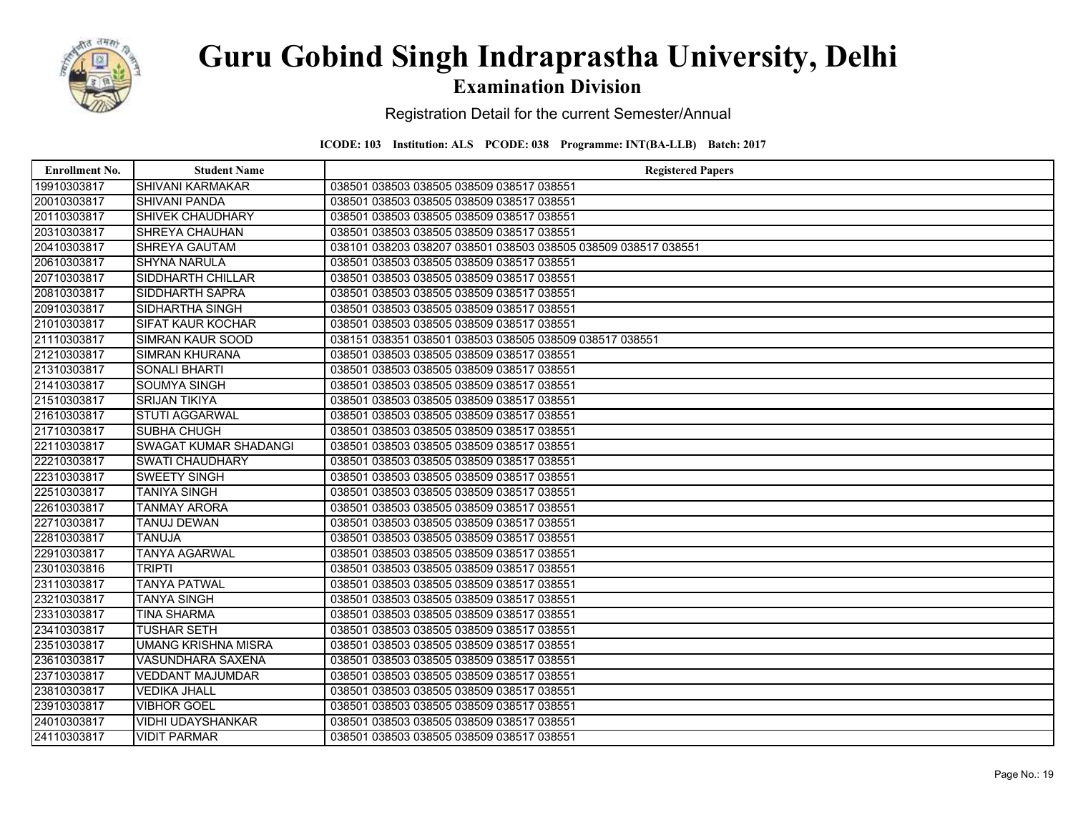

### Examination Division

Registration Detail for the current Semester/Annual

| <b>Enrollment No.</b> | <b>Student Name</b>          | <b>Registered Papers</b>                                       |
|-----------------------|------------------------------|----------------------------------------------------------------|
| 19910303817           | <b>SHIVANI KARMAKAR</b>      | 038501 038503 038505 038509 038517 038551                      |
| 20010303817           | <b>SHIVANI PANDA</b>         | 038501 038503 038505 038509 038517 038551                      |
| 20110303817           | <b>SHIVEK CHAUDHARY</b>      | 038501 038503 038505 038509 038517 038551                      |
| 20310303817           | SHREYA CHAUHAN               | 038501 038503 038505 038509 038517 038551                      |
| 20410303817           | SHREYA GAUTAM                | 038101 038203 038207 038501 038503 038505 038509 038517 038551 |
| 20610303817           | <b>SHYNA NARULA</b>          | 038501 038503 038505 038509 038517 038551                      |
| 20710303817           | <b>SIDDHARTH CHILLAR</b>     | 038501 038503 038505 038509 038517 038551                      |
| 20810303817           | SIDDHARTH SAPRA              | 038501 038503 038505 038509 038517 038551                      |
| 20910303817           | <b>SIDHARTHA SINGH</b>       | 038501 038503 038505 038509 038517 038551                      |
| 21010303817           | <b>SIFAT KAUR KOCHAR</b>     | 038501 038503 038505 038509 038517 038551                      |
| 21110303817           | <b>SIMRAN KAUR SOOD</b>      | 038151 038351 038501 038503 038505 038509 038517 038551        |
| 21210303817           | <b>SIMRAN KHURANA</b>        | 038501 038503 038505 038509 038517 038551                      |
| 21310303817           | <b>SONALI BHARTI</b>         | 038501 038503 038505 038509 038517 038551                      |
| 21410303817           | <b>SOUMYA SINGH</b>          | 038501 038503 038505 038509 038517 038551                      |
| 21510303817           | <b>SRIJAN TIKIYA</b>         | 038501 038503 038505 038509 038517 038551                      |
| 21610303817           | <b>STUTI AGGARWAL</b>        | 038501 038503 038505 038509 038517 038551                      |
| 21710303817           | SUBHA CHUGH                  | 038501 038503 038505 038509 038517 038551                      |
| 22110303817           | <b>SWAGAT KUMAR SHADANGI</b> | 038501 038503 038505 038509 038517 038551                      |
| 22210303817           | <b>SWATI CHAUDHARY</b>       | 038501 038503 038505 038509 038517 038551                      |
| 22310303817           | <b>SWEETY SINGH</b>          | 038501 038503 038505 038509 038517 038551                      |
| 22510303817           | <b>TANIYA SINGH</b>          | 038501 038503 038505 038509 038517 038551                      |
| 22610303817           | <b>TANMAY ARORA</b>          | 038501 038503 038505 038509 038517 038551                      |
| 22710303817           | <b>TANUJ DEWAN</b>           | 038501 038503 038505 038509 038517 038551                      |
| 22810303817           | <b>TANUJA</b>                | 038501 038503 038505 038509 038517 038551                      |
| 22910303817           | <b>TANYA AGARWAL</b>         | 038501 038503 038505 038509 038517 038551                      |
| 23010303816           | <b>TRIPTI</b>                | 038501 038503 038505 038509 038517 038551                      |
| 23110303817           | <b>TANYA PATWAL</b>          | 038501 038503 038505 038509 038517 038551                      |
| 23210303817           | <b>TANYA SINGH</b>           | 038501 038503 038505 038509 038517 038551                      |
| 23310303817           | <b>TINA SHARMA</b>           | 038501 038503 038505 038509 038517 038551                      |
| 23410303817           | <b>TUSHAR SETH</b>           | 038501 038503 038505 038509 038517 038551                      |
| 23510303817           | <b>UMANG KRISHNA MISRA</b>   | 038501 038503 038505 038509 038517 038551                      |
| 23610303817           | <b>VASUNDHARA SAXENA</b>     | 038501 038503 038505 038509 038517 038551                      |
| 23710303817           | <b>VEDDANT MAJUMDAR</b>      | 038501 038503 038505 038509 038517 038551                      |
| 23810303817           | <b>VEDIKA JHALL</b>          | 038501 038503 038505 038509 038517 038551                      |
| 23910303817           | <b>VIBHOR GOEL</b>           | 038501 038503 038505 038509 038517 038551                      |
| 24010303817           | <b>VIDHI UDAYSHANKAR</b>     | 038501 038503 038505 038509 038517 038551                      |
| 24110303817           | <b>VIDIT PARMAR</b>          | 038501 038503 038505 038509 038517 038551                      |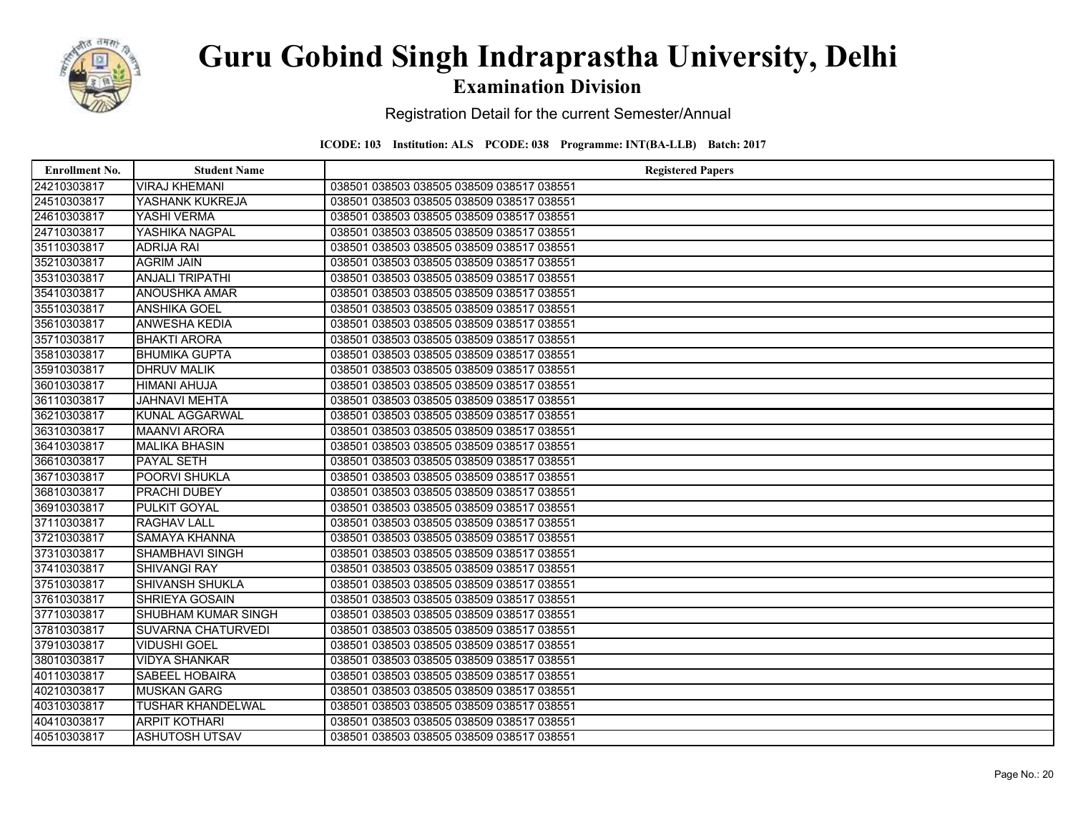

### Examination Division

Registration Detail for the current Semester/Annual

| <b>Enrollment No.</b> | <b>Student Name</b>        | <b>Registered Papers</b>                  |
|-----------------------|----------------------------|-------------------------------------------|
| 24210303817           | <b>VIRAJ KHEMANI</b>       | 038501 038503 038505 038509 038517 038551 |
| 24510303817           | YASHANK KUKREJA            | 038501 038503 038505 038509 038517 038551 |
| 24610303817           | YASHI VERMA                | 038501 038503 038505 038509 038517 038551 |
| 24710303817           | YASHIKA NAGPAL             | 038501 038503 038505 038509 038517 038551 |
| 35110303817           | <b>ADRIJA RAI</b>          | 038501 038503 038505 038509 038517 038551 |
| 35210303817           | <b>AGRIM JAIN</b>          | 038501 038503 038505 038509 038517 038551 |
| 35310303817           | <b>ANJALI TRIPATHI</b>     | 038501 038503 038505 038509 038517 038551 |
| 35410303817           | <b>ANOUSHKA AMAR</b>       | 038501 038503 038505 038509 038517 038551 |
| 35510303817           | <b>ANSHIKA GOEL</b>        | 038501 038503 038505 038509 038517 038551 |
| 35610303817           | <b>ANWESHA KEDIA</b>       | 038501 038503 038505 038509 038517 038551 |
| 35710303817           | <b>BHAKTI ARORA</b>        | 038501 038503 038505 038509 038517 038551 |
| 35810303817           | <b>BHUMIKA GUPTA</b>       | 038501 038503 038505 038509 038517 038551 |
| 35910303817           | <b>DHRUV MALIK</b>         | 038501 038503 038505 038509 038517 038551 |
| 36010303817           | <b>HIMANI AHUJA</b>        | 038501 038503 038505 038509 038517 038551 |
| 36110303817           | <b>JAHNAVI MEHTA</b>       | 038501 038503 038505 038509 038517 038551 |
| 36210303817           | <b>KUNAL AGGARWAL</b>      | 038501 038503 038505 038509 038517 038551 |
| 36310303817           | <b>MAANVI ARORA</b>        | 038501 038503 038505 038509 038517 038551 |
| 36410303817           | <b>MALIKA BHASIN</b>       | 038501 038503 038505 038509 038517 038551 |
| 36610303817           | PAYAL SETH                 | 038501 038503 038505 038509 038517 038551 |
| 36710303817           | <b>POORVI SHUKLA</b>       | 038501 038503 038505 038509 038517 038551 |
| 36810303817           | PRACHI DUBEY               | 038501 038503 038505 038509 038517 038551 |
| 36910303817           | PULKIT GOYAL               | 038501 038503 038505 038509 038517 038551 |
| 37110303817           | <b>RAGHAV LALL</b>         | 038501 038503 038505 038509 038517 038551 |
| 37210303817           | SAMAYA KHANNA              | 038501 038503 038505 038509 038517 038551 |
| 37310303817           | SHAMBHAVI SINGH            | 038501 038503 038505 038509 038517 038551 |
| 37410303817           | <b>SHIVANGI RAY</b>        | 038501 038503 038505 038509 038517 038551 |
| 37510303817           | SHIVANSH SHUKLA            | 038501 038503 038505 038509 038517 038551 |
| 37610303817           | SHRIEYA GOSAIN             | 038501 038503 038505 038509 038517 038551 |
| 37710303817           | <b>SHUBHAM KUMAR SINGH</b> | 038501 038503 038505 038509 038517 038551 |
| 37810303817           | <b>SUVARNA CHATURVEDI</b>  | 038501 038503 038505 038509 038517 038551 |
| 37910303817           | <b>VIDUSHI GOEL</b>        | 038501 038503 038505 038509 038517 038551 |
| 38010303817           | <b>VIDYA SHANKAR</b>       | 038501 038503 038505 038509 038517 038551 |
| 40110303817           | <b>SABEEL HOBAIRA</b>      | 038501 038503 038505 038509 038517 038551 |
| 40210303817           | <b>MUSKAN GARG</b>         | 038501 038503 038505 038509 038517 038551 |
| 40310303817           | <b>TUSHAR KHANDELWAL</b>   | 038501 038503 038505 038509 038517 038551 |
| 40410303817           | <b>ARPIT KOTHARI</b>       | 038501 038503 038505 038509 038517 038551 |
| 40510303817           | <b>ASHUTOSH UTSAV</b>      | 038501 038503 038505 038509 038517 038551 |